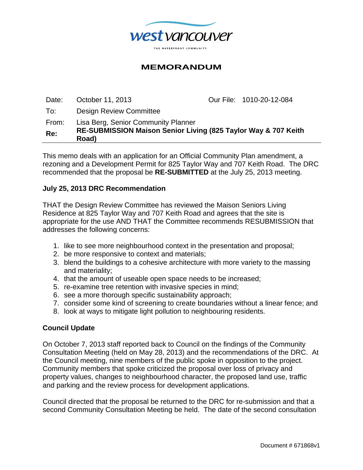

## **MEMORANDUM**

Date: October 11, 2013 Our File: 1010-20-12-084 To: Design Review Committee From: Lisa Berg, Senior Community Planner **Re: RE-SUBMISSION Maison Senior Living (825 Taylor Way & 707 Keith Road)** 

This memo deals with an application for an Official Community Plan amendment, a rezoning and a Development Permit for 825 Taylor Way and 707 Keith Road. The DRC recommended that the proposal be **RE-SUBMITTED** at the July 25, 2013 meeting.

#### **July 25, 2013 DRC Recommendation**

THAT the Design Review Committee has reviewed the Maison Seniors Living Residence at 825 Taylor Way and 707 Keith Road and agrees that the site is appropriate for the use AND THAT the Committee recommends RESUBMISSION that addresses the following concerns:

- 1. like to see more neighbourhood context in the presentation and proposal;
- 2. be more responsive to context and materials;
- 3. blend the buildings to a cohesive architecture with more variety to the massing and materiality;
- 4. that the amount of useable open space needs to be increased;
- 5. re-examine tree retention with invasive species in mind;
- 6. see a more thorough specific sustainability approach;
- 7. consider some kind of screening to create boundaries without a linear fence; and
- 8. look at ways to mitigate light pollution to neighbouring residents.

#### **Council Update**

On October 7, 2013 staff reported back to Council on the findings of the Community Consultation Meeting (held on May 28, 2013) and the recommendations of the DRC. At the Council meeting, nine members of the public spoke in opposition to the project. Community members that spoke criticized the proposal over loss of privacy and property values, changes to neighbourhood character, the proposed land use, traffic and parking and the review process for development applications.

Council directed that the proposal be returned to the DRC for re-submission and that a second Community Consultation Meeting be held. The date of the second consultation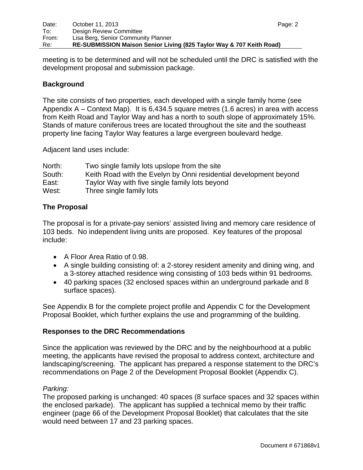meeting is to be determined and will not be scheduled until the DRC is satisfied with the development proposal and submission package.

## **Background**

The site consists of two properties, each developed with a single family home (see Appendix A – Context Map). It is 6,434.5 square metres (1.6 acres) in area with access from Keith Road and Taylor Way and has a north to south slope of approximately 15%. Stands of mature coniferous trees are located throughout the site and the southeast property line facing Taylor Way features a large evergreen boulevard hedge.

Adjacent land uses include:

| North: | Two single family lots upslope from the site                      |
|--------|-------------------------------------------------------------------|
| South: | Keith Road with the Evelyn by Onni residential development beyond |
| East:  | Taylor Way with five single family lots beyond                    |
| West:  | Three single family lots                                          |

## **The Proposal**

The proposal is for a private-pay seniors' assisted living and memory care residence of 103 beds. No independent living units are proposed. Key features of the proposal include:

- A Floor Area Ratio of 0.98.
- A single building consisting of: a 2-storey resident amenity and dining wing, and a 3-storey attached residence wing consisting of 103 beds within 91 bedrooms.
- 40 parking spaces (32 enclosed spaces within an underground parkade and 8 surface spaces).

See Appendix B for the complete project profile and Appendix C for the Development Proposal Booklet, which further explains the use and programming of the building.

#### **Responses to the DRC Recommendations**

Since the application was reviewed by the DRC and by the neighbourhood at a public meeting, the applicants have revised the proposal to address context, architecture and landscaping/screening. The applicant has prepared a response statement to the DRC's recommendations on Page 2 of the Development Proposal Booklet (Appendix C).

#### *Parking:*

The proposed parking is unchanged: 40 spaces (8 surface spaces and 32 spaces within the enclosed parkade). The applicant has supplied a technical memo by their traffic engineer (page 66 of the Development Proposal Booklet) that calculates that the site would need between 17 and 23 parking spaces.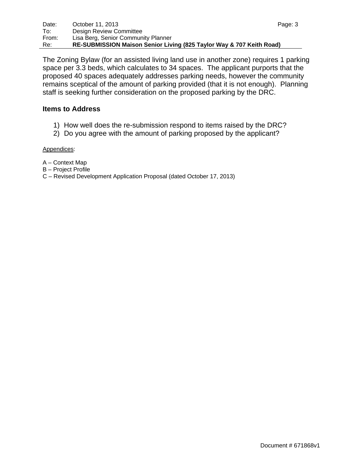The Zoning Bylaw (for an assisted living land use in another zone) requires 1 parking space per 3.3 beds, which calculates to 34 spaces. The applicant purports that the proposed 40 spaces adequately addresses parking needs, however the community remains sceptical of the amount of parking provided (that it is not enough). Planning staff is seeking further consideration on the proposed parking by the DRC.

#### **Items to Address**

- 1) How well does the re-submission respond to items raised by the DRC?
- 2) Do you agree with the amount of parking proposed by the applicant?

#### Appendices:

- A Context Map
- B Project Profile
- C Revised Development Application Proposal (dated October 17, 2013)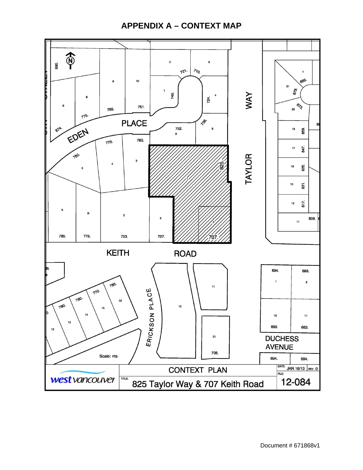# **APPENDIX A – CONTEXT MAP**